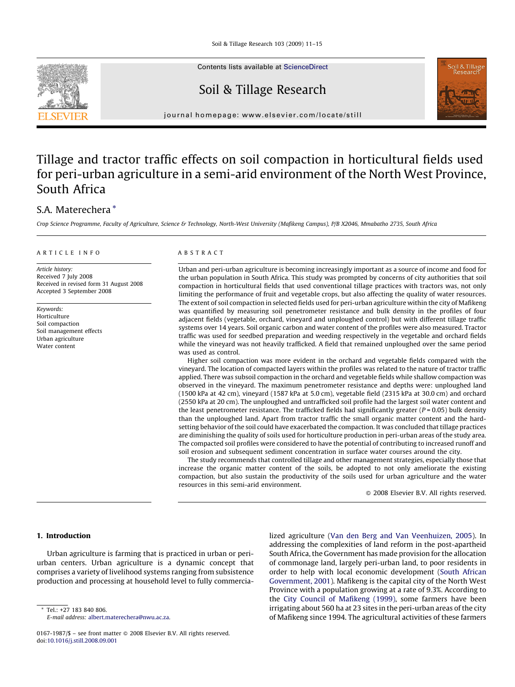Soil & Tillage Research 103 (2009) 11–15



Contents lists available at [ScienceDirect](http://www.sciencedirect.com/science/journal/01671987)

## Soil & Tillage Research



journal homepage: www.elsevier.com/locate/still

# Tillage and tractor traffic effects on soil compaction in horticultural fields used for peri-urban agriculture in a semi-arid environment of the North West Province, South Africa

### S.A. Materechera \*

Crop Science Programme, Faculty of Agriculture, Science & Technology, North-West University (Mafikeng Campus), P/B X2046, Mmabatho 2735, South Africa

#### ARTICLE INFO

Article history: Received 7 July 2008 Received in revised form 31 August 2008 Accepted 3 September 2008

Keywords: Horticulture Soil compaction Soil management effects Urban agriculture Water content

#### ABSTRACT

Urban and peri-urban agriculture is becoming increasingly important as a source of income and food for the urban population in South Africa. This study was prompted by concerns of city authorities that soil compaction in horticultural fields that used conventional tillage practices with tractors was, not only limiting the performance of fruit and vegetable crops, but also affecting the quality of water resources. The extent of soil compaction in selected fields used for peri-urban agriculture within the city of Mafikeng was quantified by measuring soil penetrometer resistance and bulk density in the profiles of four adjacent fields (vegetable, orchard, vineyard and unploughed control) but with different tillage traffic systems over 14 years. Soil organic carbon and water content of the profiles were also measured. Tractor traffic was used for seedbed preparation and weeding respectively in the vegetable and orchard fields while the vineyard was not heavily trafficked. A field that remained unploughed over the same period was used as control.

Higher soil compaction was more evident in the orchard and vegetable fields compared with the vineyard. The location of compacted layers within the profiles was related to the nature of tractor traffic applied. There was subsoil compaction in the orchard and vegetable fields while shallow compaction was observed in the vineyard. The maximum penetrometer resistance and depths were: unploughed land (1500 kPa at 42 cm), vineyard (1587 kPa at 5.0 cm), vegetable field (2315 kPa at 30.0 cm) and orchard (2550 kPa at 20 cm). The unploughed and untrafficked soil profile had the largest soil water content and the least penetrometer resistance. The trafficked fields had significantly greater ( $P = 0.05$ ) bulk density than the unploughed land. Apart from tractor traffic the small organic matter content and the hardsetting behavior of the soil could have exacerbated the compaction. It was concluded that tillage practices are diminishing the quality of soils used for horticulture production in peri-urban areas of the study area. The compacted soil profiles were considered to have the potential of contributing to increased runoff and soil erosion and subsequent sediment concentration in surface water courses around the city.

The study recommends that controlled tillage and other management strategies, especially those that increase the organic matter content of the soils, be adopted to not only ameliorate the existing compaction, but also sustain the productivity of the soils used for urban agriculture and the water resources in this semi-arid environment.

 $\odot$  2008 Elsevier B.V. All rights reserved.

#### 1. Introduction

Urban agriculture is farming that is practiced in urban or periurban centers. Urban agriculture is a dynamic concept that comprises a variety of livelihood systems ranging from subsistence production and processing at household level to fully commercia-

Tel.: +27 183 840 806. E-mail address: [albert.materechera@nwu.ac.za.](mailto:albert.materechera@nwu.ac.za) lized agriculture [\(Van den Berg and Van Veenhuizen, 2005](#page--1-0)). In addressing the complexities of land reform in the post-apartheid South Africa, the Government has made provision for the allocation of commonage land, largely peri-urban land, to poor residents in order to help with local economic development [\(South African](#page--1-0) [Government, 2001](#page--1-0)). Mafikeng is the capital city of the North West Province with a population growing at a rate of 9.3%. According to the [City Council of Mafikeng \(1999\)](#page--1-0), some farmers have been irrigating about 560 ha at 23 sites in the peri-urban areas of the city of Mafikeng since 1994. The agricultural activities of these farmers

<sup>0167-1987/\$ –</sup> see front matter © 2008 Elsevier B.V. All rights reserved. doi:[10.1016/j.still.2008.09.001](http://dx.doi.org/10.1016/j.still.2008.09.001)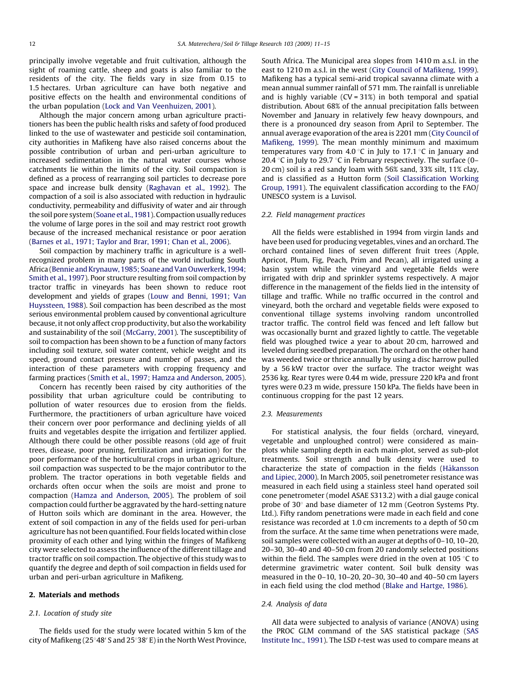principally involve vegetable and fruit cultivation, although the sight of roaming cattle, sheep and goats is also familiar to the residents of the city. The fields vary in size from 0.15 to 1.5 hectares. Urban agriculture can have both negative and positive effects on the health and environmental conditions of the urban population ([Lock and Van Veenhuizen, 2001](#page--1-0)).

Although the major concern among urban agriculture practitioners has been the public health risks and safety of food produced linked to the use of wastewater and pesticide soil contamination, city authorities in Mafikeng have also raised concerns about the possible contribution of urban and peri-urban agriculture to increased sedimentation in the natural water courses whose catchments lie within the limits of the city. Soil compaction is defined as a process of rearranging soil particles to decrease pore space and increase bulk density [\(Raghavan et al., 1992\)](#page--1-0). The compaction of a soil is also associated with reduction in hydraulic conductivity, permeability and diffusivity of water and air through the soil pore system [\(Soane et al., 1981](#page--1-0)). Compaction usually reduces the volume of large pores in the soil and may restrict root growth because of the increased mechanical resistance or poor aeration ([Barnes et al., 1971; Taylor and Brar, 1991; Chan et al](#page--1-0)., 2006).

Soil compaction by machinery traffic in agriculture is a wellrecognized problem in many parts of the world including South Africa [\(Bennie and Krynauw, 1985; Soane and Van Ouwerkerk, 1994;](#page--1-0) [Smith et al., 1997](#page--1-0)). Poor structure resulting from soil compaction by tractor traffic in vineyards has been shown to reduce root development and yields of grapes [\(Louw and Benni, 1991; Van](#page--1-0) [Huyssteen, 1988](#page--1-0)). Soil compaction has been described as the most serious environmental problem caused by conventional agriculture because, it not only affect crop productivity, but also the workability and sustainability of the soil ([McGarry, 2001](#page--1-0)). The susceptibility of soil to compaction has been shown to be a function of many factors including soil texture, soil water content, vehicle weight and its speed, ground contact pressure and number of passes, and the interaction of these parameters with cropping frequency and farming practices ([Smith et al., 1997; Hamza and Anderson, 2005\)](#page--1-0).

Concern has recently been raised by city authorities of the possibility that urban agriculture could be contributing to pollution of water resources due to erosion from the fields. Furthermore, the practitioners of urban agriculture have voiced their concern over poor performance and declining yields of all fruits and vegetables despite the irrigation and fertilizer applied. Although there could be other possible reasons (old age of fruit trees, disease, poor pruning, fertilization and irrigation) for the poor performance of the horticultural crops in urban agriculture, soil compaction was suspected to be the major contributor to the problem. The tractor operations in both vegetable fields and orchards often occur when the soils are moist and prone to compaction ([Hamza and Anderson, 2005](#page--1-0)). The problem of soil compaction could further be aggravated by the hard-setting nature of Hutton soils which are dominant in the area. However, the extent of soil compaction in any of the fields used for peri-urban agriculture has not been quantified. Four fields located within close proximity of each other and lying within the fringes of Mafikeng city were selected to assess the influence of the different tillage and tractor traffic on soil compaction. The objective of this study was to quantify the degree and depth of soil compaction in fields used for urban and peri-urban agriculture in Mafikeng.

#### 2. Materials and methods

#### 2.1. Location of study site

The fields used for the study were located within 5 km of the city of Mafikeng (25°48' S and 25°38' E) in the North West Province, South Africa. The Municipal area slopes from 1410 m a.s.l. in the east to 1210 m a.s.l. in the west [\(City Council of Mafikeng, 1999\)](#page--1-0). Mafikeng has a typical semi-arid tropical savanna climate with a mean annual summer rainfall of 571 mm. The rainfall is unreliable and is highly variable (CV = 31%) in both temporal and spatial distribution. About 68% of the annual precipitation falls between November and January in relatively few heavy downpours, and there is a pronounced dry season from April to September. The annual average evaporation of the area is 2201 mm [\(City Council of](#page--1-0) [Mafikeng, 1999\)](#page--1-0). The mean monthly minimum and maximum temperatures vary from 4.0 °C in July to 17.1 °C in January and 20.4 °C in July to 29.7 °C in February respectively. The surface (0– 20 cm) soil is a red sandy loam with 56% sand, 33% silt, 11% clay, and is classified as a Hutton form ([Soil Classification Working](#page--1-0) [Group, 1991](#page--1-0)). The equivalent classification according to the FAO/ UNESCO system is a Luvisol.

#### 2.2. Field management practices

All the fields were established in 1994 from virgin lands and have been used for producing vegetables, vines and an orchard. The orchard contained lines of seven different fruit trees (Apple, Apricot, Plum, Fig, Peach, Prim and Pecan), all irrigated using a basin system while the vineyard and vegetable fields were irrigated with drip and sprinkler systems respectively. A major difference in the management of the fields lied in the intensity of tillage and traffic. While no traffic occurred in the control and vineyard, both the orchard and vegetable fields were exposed to conventional tillage systems involving random uncontrolled tractor traffic. The control field was fenced and left fallow but was occasionally burnt and grazed lightly to cattle. The vegetable field was ploughed twice a year to about 20 cm, harrowed and leveled during seedbed preparation. The orchard on the other hand was weeded twice or thrice annually by using a disc harrow pulled by a 56 kW tractor over the surface. The tractor weight was 2536 kg. Rear tyres were 0.44 m wide, pressure 220 kPa and front tyres were 0.23 m wide, pressure 150 kPa. The fields have been in continuous cropping for the past 12 years.

#### 2.3. Measurements

For statistical analysis, the four fields (orchard, vineyard, vegetable and unploughed control) were considered as mainplots while sampling depth in each main-plot, served as sub-plot treatments. Soil strength and bulk density were used to characterize the state of compaction in the fields (Hå[kansson](#page--1-0) [and Lipiec, 2000\)](#page--1-0). In March 2005, soil penetrometer resistance was measured in each field using a stainless steel hand operated soil cone penetrometer (model ASAE S313.2) with a dial gauge conical probe of  $30^\circ$  and base diameter of 12 mm (Geotron Systems Pty. Ltd.). Fifty random penetrations were made in each field and cone resistance was recorded at 1.0 cm increments to a depth of 50 cm from the surface. At the same time when penetrations were made, soil samples were collected with an auger at depths of 0–10, 10–20, 20–30, 30–40 and 40–50 cm from 20 randomly selected positions within the field. The samples were dried in the oven at 105  $\degree$ C to determine gravimetric water content. Soil bulk density was measured in the 0–10, 10–20, 20–30, 30–40 and 40–50 cm layers in each field using the clod method ([Blake and Hartge, 1986](#page--1-0)).

#### 2.4. Analysis of data

All data were subjected to analysis of variance (ANOVA) using the PROC GLM command of the SAS statistical package ([SAS](#page--1-0) [Institute Inc., 1991](#page--1-0)). The LSD t-test was used to compare means at